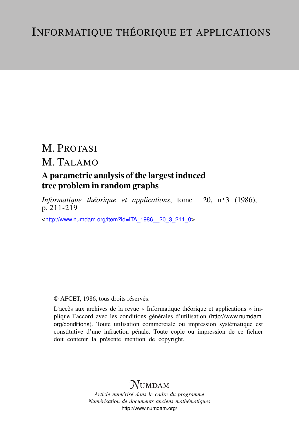# M. PROTASI

## M. TALAMO

## A parametric analysis of the largest induced tree problem in random graphs

*Informatique théorique et applications*, tome 20, nº 3 (1986), p. 211-219

<[http://www.numdam.org/item?id=ITA\\_1986\\_\\_20\\_3\\_211\\_0](http://www.numdam.org/item?id=ITA_1986__20_3_211_0)>

## © AFCET, 1986, tous droits réservés.

L'accès aux archives de la revue « Informatique théorique et applications » implique l'accord avec les conditions générales d'utilisation ([http://www.numdam.](http://www.numdam.org/conditions) [org/conditions](http://www.numdam.org/conditions)). Toute utilisation commerciale ou impression systématique est constitutive d'une infraction pénale. Toute copie ou impression de ce fichier doit contenir la présente mention de copyright.

# $N$ UMDAM

*Article numérisé dans le cadre du programme Numérisation de documents anciens mathématiques* <http://www.numdam.org/>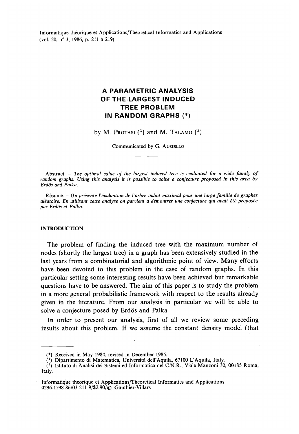Informatique théorique et Applications/Theoretical Informaties and Applications (vol. 20, n°3, 1986, p. 211 à 219)

## **A PARAMETRIC AIMALYSIS OF THE LARGEST INDUCED TREE PROBLEM IN RANDOM GRAPHS (\*)**

by M. PROTASI *(<sup>l</sup> )* and M. TALAMO (<sup>2</sup> )

Communicated by G. AUSIELLO

**Abstract. -** *The optimal value of the largest induced tree is evaluated for a wide family of random graphs, Vsing this analysis it is possible to solve a conjecture proposed in this area by Erdô's and Palka.*

**Résumé. -** *On présente l'évaluation de Varbre induit maximal pour une large famille de graphes aléatoire. En utilisant cette analyse on parvient a démontrer une conjecture qui avait été proposée par Erdô's et Palka.*

### **INTRODUCTION**

The problern of finding the induced tree with the maximum number of nodes (shortly the largest tree) in a graph has been extensively studied in the last years from a combinatorial and algorithmic point of view. Many efforts have been devoted to this problem in the case of random graphs. In this particular setting some interesting results have been achieved but remarkable questions have to be answered. The aim of this paper is to study the problem in a more gênerai probabilistic framework with respect to the results already given in the literature. From our analysis in particular we will be able to solve a conjecture posed by Erdös and Palka.

In order to present our analysis, first of all we review some preceding results about this problem. If we assume the constant density model (that

<sup>(\*)</sup> Receïved in May 1984, revised in December 1985.

<sup>(&#</sup>x27;) Dipartimento di Matematica, Università deU\*Aquila, 67100 L'Aquila, Italy.

<sup>&</sup>lt; 2 ) Istituto di Analisi dei Sistemi ed Informatica del C.N.R., Viale Manzoni 30, 00185 Roma, Italy.

Informatique théorique et Applications/Theoretical Informaties and Applications 0296-1598 86/03 211 9/S2.90/© Gauthier-Villars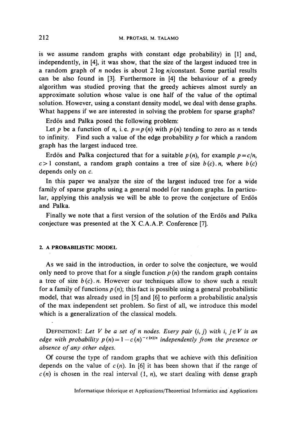is we assume random graphs with constant edge probability) in [1] and, independently, in [4], it was show, that the size of the largest induced tree in a random graph of *n* nodes is about 2 log n/constant. Some partial results can be also found in [3]. Furthermore in [4] the behaviour of a greedy algorithm was studied proving that the greedy achieves almost surely an approximate solution whose value is one half of the value of the optimal solution. However, using a constant density model, we deal with dense graphs. What happens if we are interested in solving the problem for sparse graphs?

Erdös and Palka posed the following problem:

Let p be a function of n, i.e.  $p = p(n)$  with  $p(n)$  tending to zero as n tends to infinity. Find such a value of the edge probability *p* for which a random graph has the largest induced tree.

Erdös and Palka conjectured that for a suitable  $p(n)$ , for example  $p = c/n$ ,  $c>1$  constant, a random graph contains a tree of size  $b(c)$ .*n*, where  $b(c)$ dépends only on *c.*

In this paper we analyze the size of the largest induced tree for a wide family of sparse graphs using a general model for random graphs. In particular, applying this analysis we will be able to prove the conjecture of Erdös and Palka.

Finally we note that a first version of the solution of the Erdös and Palka conjecture was presented at the X CA.A.P. Conference [7].

### **2.** A **PROBABILISTIC MODEL**

As we said in the introduction, in order to solve the conjecture, we would only need to prove that for a single function  $p(n)$  the random graph contains a tree of size  $b(c)$ .*n.* However our techniques allow to show such a result for a family of functions  $p(n)$ ; this fact is possible using a general probabilistic model, that was already used in [5] and [6] to perform a probabilistic analysis of the max independent set problem. So first of all, we introducé this model which is a generalization of the classical models.

DEFINITION1: Let V be a set of n nodes. Every pair  $(i, j)$  with  $i, j \in V$  is an *edge with probability*  $p(n)=1-c(n)^{-c(n)/n}$  *independently from the presence or absence of any ôther edges.*

Of course the type of random graphs that we achieve with this définition depends on the value of  $c(n)$ . In [6] it has been shown that if the range of  $c(n)$  is chosen in the real interval  $(1, n)$ , we start dealing with dense graph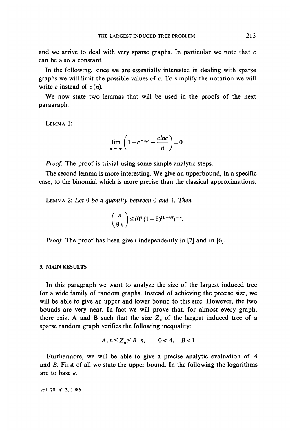and we arrive to deal with very sparse graphs. In particular we note that *c* can be also a constant.

In the following, since we are essentially interested in dealing with sparse graphs we will limit the possible values of  $c$ . To simplify the notation we will write *c* instead of *c* (n).

We now state two lemmas that will be used in the proofs of the next paragraph.

LEMMA 1:

$$
\lim_{n \to \infty} \left(1 - c^{-c/n} - \frac{chc}{n}\right) = 0.
$$

*Proof:* The proof is trivial using some simple analytic steps.

The second lemma is more interesting. We give an upperbound, in a specific case, to the binomial which is more precise than the classical approximations.

LEMMA 2: *Let § be a quantity between* 0 *and* 1. *Then*

$$
\binom{n}{\theta n} \leq (\theta^{\theta} (1-\theta)^{(1-\theta)})^{-n}.
$$

*Proof*: The proof has been given independently in [2] and in [6].

## **3. MAIN RESULTS**

In this paragraph we want to analyze the size of the largest induced tree for a wide family of random graphs. Instead of achieving the precise size, we will be able to give an upper and lower bound to this size. However, the two bounds are very near. In fact we will prove that, for almost every graph, there exist A and B such that the size  $Z_n$  of the largest induced tree of a sparse random graph verifies the following inequality:

$$
A \cdot n \leq Z_n \leq B \cdot n, \qquad 0 < A, \quad B < 1
$$

Furthermore, we will be able to give a precise analytic evaluation of A and *B.* First of all we state the upper bound. In the following the logarithms are to base e.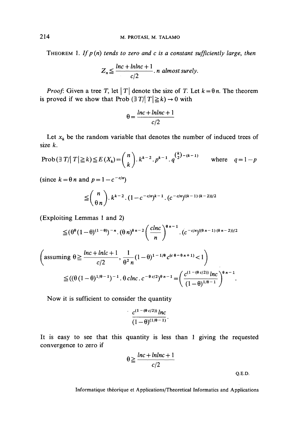THEOREM 1. If  $p(n)$  tends to zero and c is a constant sufficiently large, then

$$
Z_n \leq \frac{lnc + lnlnc + 1}{c/2}
$$
. *n* almost surely.

*Proof:* Given a tree T, let  $|T|$  denote the size of T. Let  $k = \theta n$ . The theorem is proved if we show that Prob  $(\exists T/\vert T\vert \geq k) \rightarrow 0$  with

$$
\theta = \frac{lnc + lnlnc + 1}{c/2}
$$

Let  $x_k$  be the random variable that denotes the number of induced trees of size *k.*

Prob 
$$
(\exists T / |T| \ge k) \le E(X_k) = {n \choose k} \cdot k^{k-2} \cdot p^{k-1} \cdot q^{{k \choose 2} - (k-1)}
$$
 where  $q = 1 - p$ 

(since  $k = \theta n$  and  $p = 1 - c^{-c/n}$ )

$$
\leq {n \choose 0 n} \cdot k^{k-2} \cdot (1 - c^{-c/n})^{k-1} \cdot (c^{-c/n})^{((k-1)(k-2))/2}
$$

(Exploiting Lemmas 1 and 2)

$$
\leq (\theta^{\theta}(1-\theta)^{(1-\theta)})^{-n} \cdot (\theta n)^{\theta n-2} \left(\frac{clnc}{n}\right)^{\theta n-1} \cdot (c^{-c/n})^{((\theta n-1)(\theta n-2))/2}
$$

$$
\left(\text{assuming } \theta \geq \frac{\ln c + \ln \left( c + 1 \right)}{c/2}, \frac{1}{\theta^2 n} (1 - \theta)^{1 - 1/\theta} c^{(c \theta - \theta n + 1)} < 1\right)
$$
\n
$$
\leq ((\theta (1 - \theta)^{1/\theta - 1})^{-1} \cdot \theta \operatorname{chc.} c^{-\theta c/2})^{\theta n - 1} = \left(\frac{c^{(1 - (\theta c/2))} \ln c}{(1 - \theta)^{1/\theta - 1}}\right)^{\theta n - 1}.
$$

 $\ddot{\phantom{a}}$ 

Now it is sufficient to consider the quantity

$$
\frac{c^{(1-(\theta c/2))}\ln c}{(1-\theta)^{(1/\theta-1)}}.
$$

It is easy to see that this quantity is less than 1 giving the requested convergence to zero if

$$
\theta \ge \frac{lnc + lnlnc + 1}{c/2}
$$
 Q.E.D.

Informatique théorique et Applications/Theoretical Informaties and Applications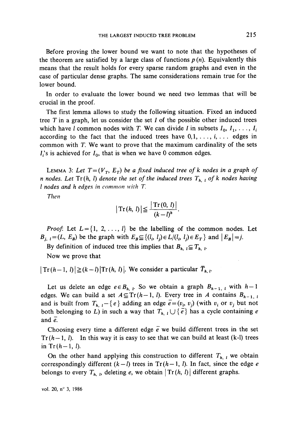Before proving the lower bound we want to note that the hypotheses of the theorem are satisfied by a large class of functions  $p(n)$ . Equivalently this means that the result holds for every sparse random graphs and even in the case of particular dense graphs. The same considérations remain true for the lower bound.

In order to evaluate the lower bound we need two lemmas that will be crucial in the proof.

The first lemma allows to study the following situation. Fixed an induced tree *T* in a graph, let us consider the set *I* of the possible other induced trees which have *l* common nodes with *T*. We can divide *I* in subsets  $I_0, I_1, \ldots, I_i$ according to the fact that the induced trees have  $0,1, \ldots, i, \ldots$  edges in common with T. We want to prove that the maximum cardinality of the sets  $I_i$ 's is achieved for  $I_0$ , that is when we have 0 common edges.

LEMMA 3: Let  $T=(V_T, E_T)$  be a fixed induced tree of k nodes in a graph of *n* nodes. Let  $Tr(h, l)$  denote the set of the induced trees  $T_{h, l}$  of k nodes having *l nodes and h edges in common with T.*

*Then*

$$
|\operatorname{Tr}(h, l)| \leq \frac{|\operatorname{Tr}(0, l)|}{(k-l)^h}.
$$

*Proof.* Let  $L = \{1, 2, \ldots, l\}$  be the labelling of the common nodes. Let  $B_{i, l} = (L, E_B)$  be the graph with  $E_B \subseteq \{(l_i, l_i) \in L/(l_i, l_i) \in E_T\}$  and  $|E_B| = j$ .

By definition of induced tree this implies that  $B_{h, i} \subseteq T_{h, i}$ .

Now we prove that

 $|Tr(h-1, l)| \geq (k-l)|Tr(h, l)|$ . We consider a particular  $\overline{T}_{h, l}$ .

Let us delete an edge  $e \in B_{h, l}$ . So we obtain a graph  $B_{h-1, l}$  with  $h-1$ edges. We can build a set  $A \subseteq Tr(h-1, l)$ . Every tree in A contains  $B_{h-1, l}$ and is built from  $T_{h, l} - \{e\}$  adding an edge  $\overline{e} = (v_i, v_j)$  (with  $v_i$  or  $v_j$  but not both belonging to L) in such a way that  $T_{h, l} \cup \{\tilde{e}\}$  has a cycle containing *e* and *e.*

Choosing every time a different edge  $\overline{e}$  we build different trees in the set  $Tr(h-1, l)$ . In this way it is easy to see that we can build at least (k-I) trees in  $Tr(h-1, l)$ .

On the other hand applying this construction to different  $T_{h, l}$  we obtain correspondingly different  $(k - l)$  trees in  $Tr(h - 1, l)$ . In fact, since the edge *e* belongs to every  $T_{h, b}$  deleting e, we obtain  $\left| \text{Tr}(h, l) \right|$  different graphs.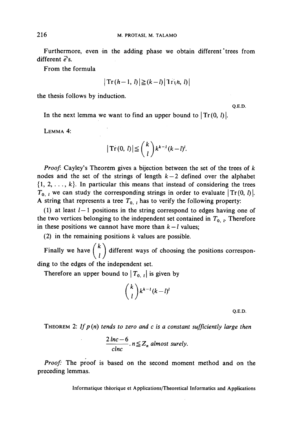Furthermore, even in the adding phase we obtain different'trees from different  $\vec{e}$ 's.

From the formula

$$
|\operatorname{Tr}\left(h-1,\,l\right)|\geq (k-l)|\operatorname{Tr}\left(h,\,l\right)|
$$

the thesis follows by induction.

Q.E.D.

In the next lemma we want to find an upper bound to  $|\text{Tr}(0, l)|$ .

LEMMA 4:

$$
|\operatorname{Tr}\left(0,\,l\right)| \leq \binom{k}{l} k^{k-l} (k-l)^{l}.
$$

*Proof.* Cayley's Theorem gives a bijection between the set of the trees of *k* nodes and the set of the strings of length  $k-2$  defined over the alphabet  $\{1, 2, \ldots, k\}$ . In particular this means that instead of considering the trees  $T_{0, l}$  we can study the corresponding strings in order to evaluate  $|Tr(0, l)|$ . A string that represents a tree  $T_{0, l}$  has to verify the following property:

(1) at least  $l-1$  positions in the string correspond to edges having one of the two vertices belonging to the independent set contained in  $T_{0, t}$ . Therefore in these positions we cannot have more than  $k - l$  values;

(2) in the remaining positions *k* values are possible.

*/ k\*  $\binom{1}{l}$ 

Therefore an upper bound to  $|T_{0, l}|$  is given by

$$
\binom{k}{l}k^{k-l}(k-l)^l
$$

Q.E.D.

THEOREM 2: *Ifp (ri) tends to zero and c is a constant sufficiently large then*

$$
\frac{2\ln c - 6}{\text{ch}c} \cdot n \leq Z_n \text{ almost surely.}
$$

*Proof:* The proof is based on the second moment method and on the preceding lemmas.

**Informatique théorique et Applications/Theoretical Informaties and Applications**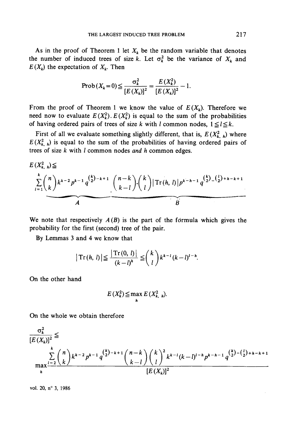As in the proof of Theorem 1 let  $X_k$  be the random variable that denotes the number of induced trees of size k. Let  $\sigma_k^2$  be the variance of  $X_k$  and  $E(X_k)$  the expectation of  $X_k$ . Then

$$
\text{Prob}(X_k = 0) \le \frac{\sigma_k^2}{[E(X_k)]^2} = \frac{E(X_k^2)}{[E(X_k)]^2} - 1.
$$

From the proof of Theorem 1 we know the value of  $E(X_k)$ . Therefore we need now to evaluate  $E(X_k^2)$ ,  $E(X_k^2)$  is equal to the sum of the probabilities of having ordered pairs of trees of size k with l common nodes,  $1 \leq l \leq k$ .

First of all we evaluate something slightly different, that is,  $E(X_{k,h}^2)$  where  $E(X_{k,h}^2)$  is equal to the sum of the probabilities of having ordered pairs of trees of size *k* with *l* common nodes *and h* common edges.

$$
E(X_{k,h}^{2}) \leq
$$
\n
$$
\sum_{l=1}^{k} {n \choose k} k^{k-2} p^{k-1} q^{{k \choose 2} - k + 1} {n-k \choose k-l} {k \choose l} |Tr(h, l)| p^{k-h-1} q^{{k \choose 2} - {l \choose 2} + h - k + 1}
$$

**We note that respectively** *A(B)* **is the part of the formula which gives the probability for the first (second) tree of the pair.**

**By Lemmas 3 and 4 we know that**

$$
|\operatorname{Tr}(h, l)| \leq \frac{|\operatorname{Tr}(0, l)|}{(k-l)^h} \leq {k \choose l} k^{k-l} (k-l)^{l-h}.
$$

**On the other hand**

$$
E(X_k^2) \leq \max_{h} E(X_{k, h}^2).
$$

On the whole we obtain therefore

$$
\frac{\sigma_k^2}{[E(X_k)]^2} \le \sum_{\substack{k \\ \text{max}}}^{k} \frac{\sum_{l=2}^{k} {n \choose k} k^{k-2} p^{k-1} q^{\binom{k}{2} - k + 1} {n-k \choose k-l} {\binom{k}{l}}^2 k^{k-l} (k-l)^{l-h} p^{k-h-1} q^{\binom{k}{2} - \binom{l}{2} + h - k + 1}}
$$
\n
$$
[E(X_k)]^2
$$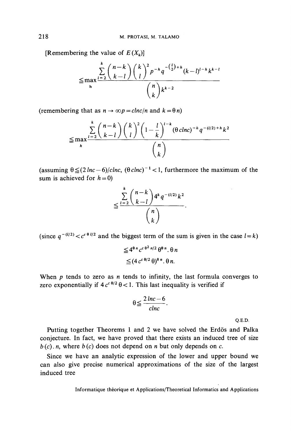[Remembering the value of  $E(X_k)$ ]

$$
\leq \max_{h} \frac{\sum_{l=2}^{k} {n-k \choose k-l} {k \choose l}^2 p^{-h} q^{-\binom{l}{2}+h} (k-l)^{l-h} k^{k-l}}{\binom{n}{k} k^{k-2}}
$$

(remembering that as  $n \to \infty p = \frac{c \ln c}{n}$  and  $k = \theta n$ )

$$
\leq \max_{h} \frac{\sum_{l=2}^{k} {n-k \choose k-l} {k \choose l}^2 \left(1-\frac{l}{k}\right)^{l-k} (\theta \text{ clnc})^{-h} q^{-(l/2)+h} k^2}{\binom{n}{k}}
$$

(assuming  $\theta \leq (2\ln c - 6)/c \ln c$ ,  $(\theta \, c \ln c)^{-1} < 1$ , furthermore the maximum of the sum is achieved for  $h = 0$ )

$$
\leq \frac{\sum\limits_{l=2}^{k}\binom{n-k}{k-l}4^{k}q^{-(l/2)}k^{2}}{\binom{n}{k}}.
$$

(since  $q^{-(l/2)} < c^{c \theta l/2}$  and the biggest term of the sum is given in the case  $l = k$ )

$$
\leq 4^{\theta n} c^{c \theta^2 n/2} \theta^{\theta n} \theta n
$$
  

$$
\leq (4 c^{c \theta/2} \theta)^{\theta n} \theta n.
$$

When *p* tends to zero as *n* tends to infinity, the last formula converges to zero exponentially if  $4c^{\epsilon\theta/2}\theta < 1$ . This last inequality is verified if

$$
\theta \leq \frac{2\ln c - 6}{chc}.
$$

**Q.E.D.**

Putting together Theorems 1 and 2 we have solved the Erdös and Palka conjecture. In fact, we have proved that there exists an induced tree of size *b (c). n,* where *b* (c) does not depend on *n* but only dépends on *c.*

Since we have an analytic expression of the lower and upper bound we can also give precise numerical approximations of the size of the largest induced tree

Informatique théorique et Applications/Theoretical Informaties and Applications